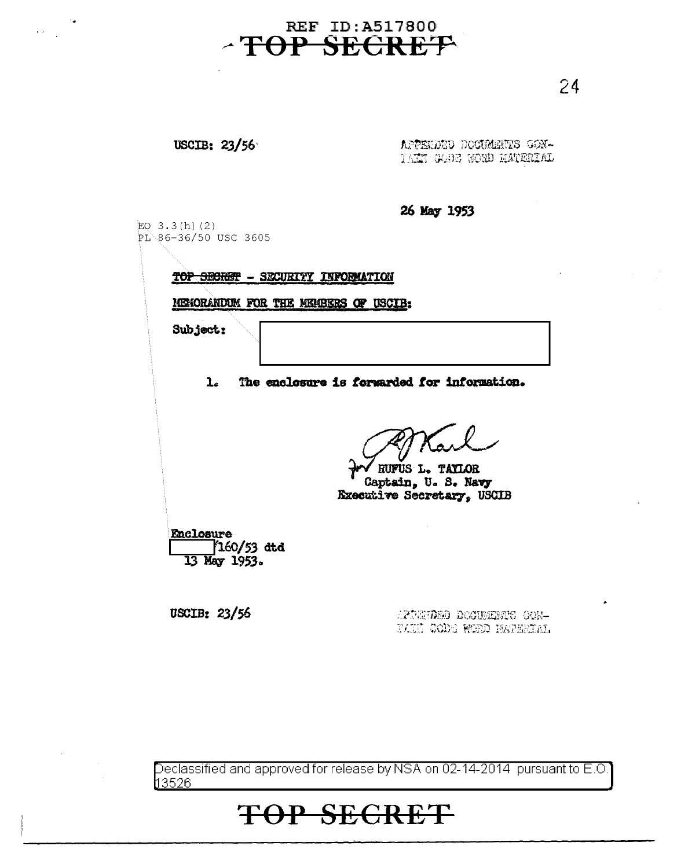## **REF ID: A517800** -TOP SECRET

24

## USCIB: 23/56

APPENDED DOCUMENTS GON-TAIN GOOD WORD HATERIAL

26 May 1953 EO  $3.3(h)(2)$ PL 86-36/50 USC 3605 TOP SECRET - SECURITY INFORMATION MEMORANDUM FOR THE MEMBERS OF USCIB: Subject: The enclosure is forwarded for information.  $\mathbf{L}$ RUFUS L. TAYLOR Captain, U.S. Navy **Kxecutive Secretary, USCIB** Enclosure  $\frac{160}{53}$  dtd 13 May 1953.

USCIB: 23/56

AFDEPDED DOCUMENTS CON-TAIN CODE WEED NATERIAL

Declassified and approved for release by NSA on 02-14-2014 pursuant to E.O. <u> 13526 </u>

## **TOP SECRET**